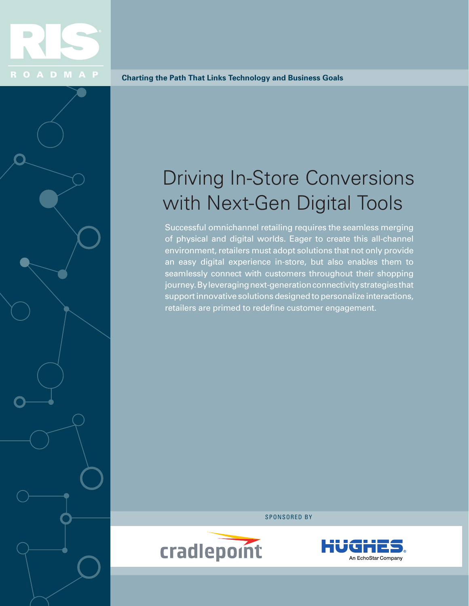

**Charting the Path That Links Technology and Business Goals**

# Driving In-Store Conversions with Next-Gen Digital Tools

Successful omnichannel retailing requires the seamless merging of physical and digital worlds. Eager to create this all-channel environment, retailers must adopt solutions that not only provide an easy digital experience in-store, but also enables them to seamlessly connect with customers throughout their shopping journey. By leveraging next-generation connectivity strategies that support innovative solutions designed to personalize interactions, retailers are primed to redefine customer engagement.

SPONSORED BY



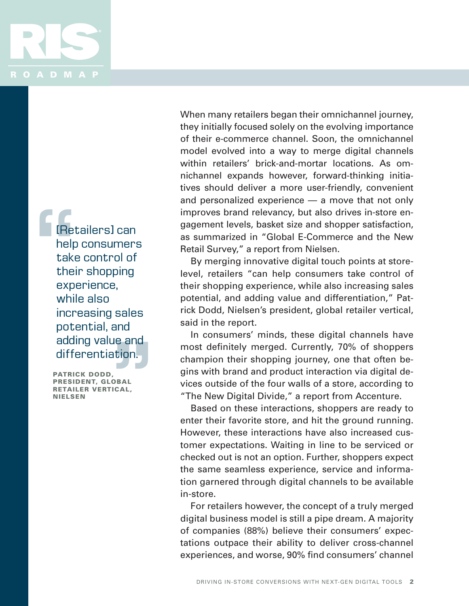

[Retailers] can help consumers take control of their shopping experience, while also increasing sales potential, and adding value and differentiation. Thet<br>
help<br>
take<br>
thei<br>
exp<br>
whil<br>
incr ALC UNDER THE STREET

PATRICK DODD, PRESIDENT, GLOBAL RETAILER VERTICAL, NIELSEN

When many retailers began their omnichannel journey, they initially focused solely on the evolving importance of their e-commerce channel. Soon, the omnichannel model evolved into a way to merge digital channels within retailers' brick-and-mortar locations. As omnichannel expands however, forward-thinking initiatives should deliver a more user-friendly, convenient and personalized experience — a move that not only improves brand relevancy, but also drives in-store engagement levels, basket size and shopper satisfaction, as summarized in "Global E-Commerce and the New Retail Survey," a report from Nielsen.

By merging innovative digital touch points at storelevel, retailers "can help consumers take control of their shopping experience, while also increasing sales potential, and adding value and differentiation," Patrick Dodd, Nielsen's president, global retailer vertical, said in the report.

In consumers' minds, these digital channels have most definitely merged. Currently, 70% of shoppers champion their shopping journey, one that often begins with brand and product interaction via digital devices outside of the four walls of a store, according to "The New Digital Divide," a report from Accenture.

Based on these interactions, shoppers are ready to enter their favorite store, and hit the ground running. However, these interactions have also increased customer expectations. Waiting in line to be serviced or checked out is not an option. Further, shoppers expect the same seamless experience, service and information garnered through digital channels to be available in-store.

For retailers however, the concept of a truly merged digital business model is still a pipe dream. A majority of companies (88%) believe their consumers' expectations outpace their ability to deliver cross-channel experiences, and worse, 90% find consumers' channel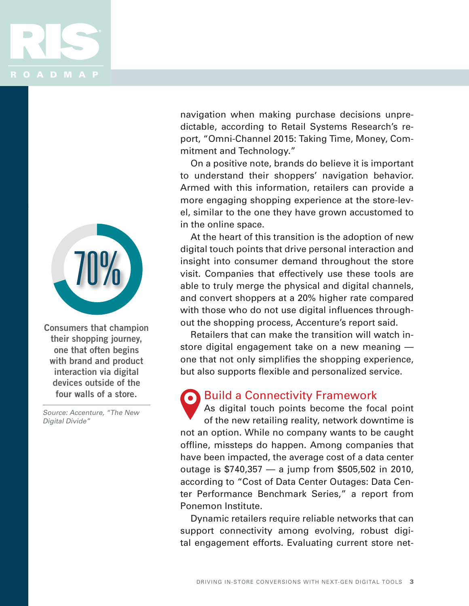



**Consumers that champion their shopping journey, one that often begins with brand and product interaction via digital devices outside of the four walls of a store.** 

Source: Accenture, "The New Digital Divide"

navigation when making purchase decisions unpredictable, according to Retail Systems Research's report, "Omni-Channel 2015: Taking Time, Money, Commitment and Technology."

On a positive note, brands do believe it is important to understand their shoppers' navigation behavior. Armed with this information, retailers can provide a more engaging shopping experience at the store-level, similar to the one they have grown accustomed to in the online space.

At the heart of this transition is the adoption of new digital touch points that drive personal interaction and insight into consumer demand throughout the store visit. Companies that effectively use these tools are able to truly merge the physical and digital channels, and convert shoppers at a 20% higher rate compared with those who do not use digital influences throughout the shopping process, Accenture's report said.

Retailers that can make the transition will watch instore digital engagement take on a new meaning one that not only simplifies the shopping experience, but also supports flexible and personalized service.

#### Build a Connectivity Framework

As digital touch points become the focal point of the new retailing reality, network downtime is not an option. While no company wants to be caught offline, missteps do happen. Among companies that have been impacted, the average cost of a data center outage is \$740,357 — a jump from \$505,502 in 2010, according to "Cost of Data Center Outages: Data Center Performance Benchmark Series," a report from Ponemon Institute.

Dynamic retailers require reliable networks that can support connectivity among evolving, robust digital engagement efforts. Evaluating current store net-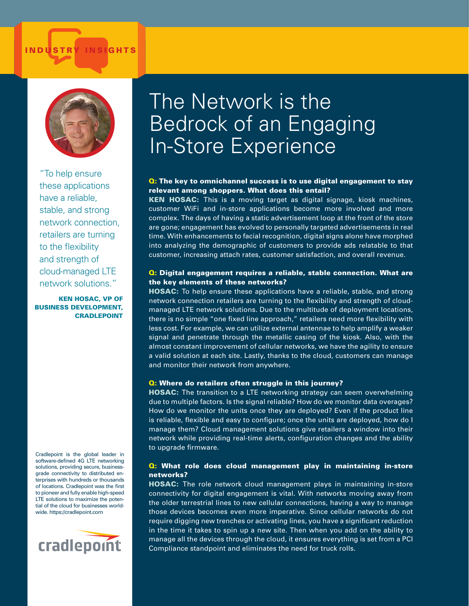#### INDUSTRY INSIGHTS



"To help ensure these applications have a reliable, stable, and strong network connection, retailers are turning to the flexibility and strength of cloud-managed LTE network solutions."

KEN HOSAC, VP OF BUSINESS DEVELOPMENT, CRADLEPOINT

Cradlepoint is the global leader in software-defined 4G LTE networking solutions, providing secure, businessgrade connectivity to distributed enterprises with hundreds or thousands of locations. Cradlepoint was the first to pioneer and fully enable high-speed LTE solutions to maximize the potential of the cloud for businesses worldwide. https://cradlepoint.com



### The Network is the Bedrock of an Engaging In-Store Experience

#### **Q:** The key to omnichannel success is to use digital engagement to stay relevant among shoppers. What does this entail?

KEN HOSAC: This is a moving target as digital signage, kiosk machines, customer WiFi and in-store applications become more involved and more complex. The days of having a static advertisement loop at the front of the store are gone; engagement has evolved to personally targeted advertisements in real time. With enhancements to facial recognition, digital signs alone have morphed into analyzing the demographic of customers to provide ads relatable to that customer, increasing attach rates, customer satisfaction, and overall revenue.

#### **Q:** Digital engagement requires a reliable, stable connection. What are the key elements of these networks?

HOSAC: To help ensure these applications have a reliable, stable, and strong network connection retailers are turning to the flexibility and strength of cloudmanaged LTE network solutions. Due to the multitude of deployment locations, there is no simple "one fixed line approach," retailers need more flexibility with less cost. For example, we can utilize external antennae to help amplify a weaker signal and penetrate through the metallic casing of the kiosk. Also, with the almost constant improvement of cellular networks, we have the agility to ensure a valid solution at each site. Lastly, thanks to the cloud, customers can manage and monitor their network from anywhere.

#### Q: Where do retailers often struggle in this journey?

HOSAC: The transition to a LTE networking strategy can seem overwhelming due to multiple factors. Is the signal reliable? How do we monitor data overages? How do we monitor the units once they are deployed? Even if the product line is reliable, flexible and easy to configure; once the units are deployed, how do I manage them? Cloud management solutions give retailers a window into their network while providing real-time alerts, configuration changes and the ability to upgrade firmware.

#### **Q: What role does cloud management play in maintaining in-store** networks?

HOSAC: The role network cloud management plays in maintaining in-store connectivity for digital engagement is vital. With networks moving away from the older terrestrial lines to new cellular connections, having a way to manage those devices becomes even more imperative. Since cellular networks do not require digging new trenches or activating lines, you have a significant reduction in the time it takes to spin up a new site. Then when you add on the ability to manage all the devices through the cloud, it ensures everything is set from a PCI Compliance standpoint and eliminates the need for truck rolls.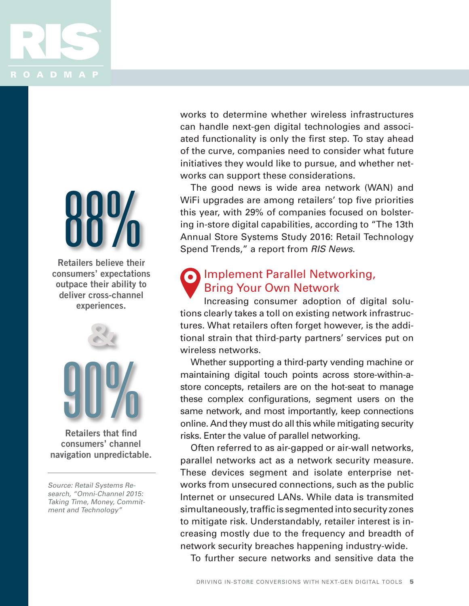

# 88%

**Retailers believe their consumers' expectations outpace their ability to deliver cross-channel experiences.**



**Retailers that find consumers' channel navigation unpredictable.** 

Source: Retail Systems Research, "Omni-Channel 2015: Taking Time, Money, Commitment and Technology"

works to determine whether wireless infrastructures can handle next-gen digital technologies and associated functionality is only the first step. To stay ahead of the curve, companies need to consider what future initiatives they would like to pursue, and whether networks can support these considerations.

The good news is wide area network (WAN) and WiFi upgrades are among retailers' top five priorities this year, with 29% of companies focused on bolstering in-store digital capabilities, according to "The 13th Annual Store Systems Study 2016: Retail Technology Spend Trends," a report from *RIS News*.

#### Implement Parallel Networking, Bring Your Own Network

Increasing consumer adoption of digital solutions clearly takes a toll on existing network infrastructures. What retailers often forget however, is the additional strain that third-party partners' services put on wireless networks.

Whether supporting a third-party vending machine or maintaining digital touch points across store-within-astore concepts, retailers are on the hot-seat to manage these complex configurations, segment users on the same network, and most importantly, keep connections online. And they must do all this while mitigating security risks. Enter the value of parallel networking.

Often referred to as air-gapped or air-wall networks, parallel networks act as a network security measure. These devices segment and isolate enterprise networks from unsecured connections, such as the public Internet or unsecured LANs. While data is transmited simultaneously, traffic is segmented into security zones to mitigate risk. Understandably, retailer interest is increasing mostly due to the frequency and breadth of network security breaches happening industry-wide.

To further secure networks and sensitive data the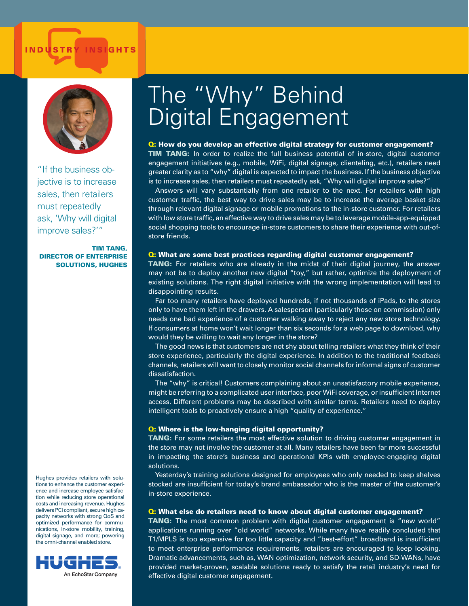# INDUSTRY INSIGHTS IN A RESERVE OF THE SERVE OF THE SERVE OF THE SERVE OF THE SERVE OF THE SERVE OF THE SERVE O



"If the business objective is to increase sales, then retailers must repeatedly ask, 'Why will digital improve sales?'"

TIM TANG, DIRECTOR OF ENTERPRISE SOLUTIONS, HUGHES

Hughes provides retailers with solutions to enhance the customer experience and increase employee satisfaction while reducing store operational costs and increasing revenue. Hughes delivers PCI compliant, secure high capacity networks with strong QoS and optimized performance for communications, in-store mobility, training, digital signage, and more; powering the omni-channel enabled store.



# The "Why" Behind Digital Engagement

#### Q: How do you develop an effective digital strategy for customer engagement?

**TIM TANG:** In order to realize the full business potential of in-store, digital customer engagement initiatives (e.g., mobile, WiFi, digital signage, clienteling, etc.), retailers need greater clarity as to "why" digital is expected to impact the business. If the business objective is to increase sales, then retailers must repeatedly ask, "Why will digital improve sales?"

Answers will vary substantially from one retailer to the next. For retailers with high customer traffic, the best way to drive sales may be to increase the average basket size through relevant digital signage or mobile promotions to the in-store customer. For retailers with low store traffic, an effective way to drive sales may be to leverage mobile-app-equipped social shopping tools to encourage in-store customers to share their experience with out-ofstore friends.

#### Q: What are some best practices regarding digital customer engagement?

TANG: For retailers who are already in the midst of their digital journey, the answer may not be to deploy another new digital "toy," but rather, optimize the deployment of existing solutions. The right digital initiative with the wrong implementation will lead to disappointing results.

Far too many retailers have deployed hundreds, if not thousands of iPads, to the stores only to have them left in the drawers. A salesperson (particularly those on commission) only needs one bad experience of a customer walking away to reject any new store technology. If consumers at home won't wait longer than six seconds for a web page to download, why would they be willing to wait any longer in the store?

The good news is that customers are not shy about telling retailers what they think of their store experience, particularly the digital experience. In addition to the traditional feedback channels, retailers will want to closely monitor social channels for informal signs of customer dissatisfaction.

The "why" is critical! Customers complaining about an unsatisfactory mobile experience, might be referring to a complicated user interface, poor WiFi coverage, or insufficient Internet access. Different problems may be described with similar terms. Retailers need to deploy intelligent tools to proactively ensure a high "quality of experience."

#### **Q: Where is the low-hanging digital opportunity?**

TANG: For some retailers the most effective solution to driving customer engagement in the store may not involve the customer at all. Many retailers have been far more successful in impacting the store's business and operational KPIs with employee-engaging digital solutions.

Yesterday's training solutions designed for employees who only needed to keep shelves stocked are insufficient for today's brand ambassador who is the master of the customer's in-store experience.

#### Q: What else do retailers need to know about digital customer engagement?

**TANG:** The most common problem with digital customer engagement is "new world" applications running over "old world" networks. While many have readily concluded that T1/MPLS is too expensive for too little capacity and "best-effort" broadband is insufficient to meet enterprise performance requirements, retailers are encouraged to keep looking. Dramatic advancements, such as, WAN optimization, network security, and SD-WANs, have provided market-proven, scalable solutions ready to satisfy the retail industry's need for effective digital customer engagement.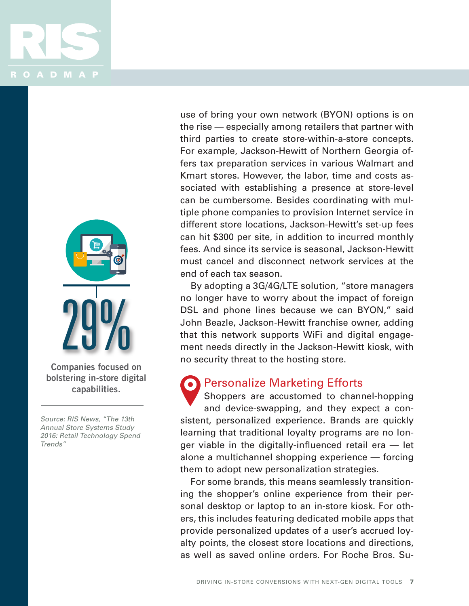



**Companies focused on bolstering in-store digital capabilities.**

Source: RIS News, "The 13th Annual Store Systems Study 2016: Retail Technology Spend Trends"

use of bring your own network (BYON) options is on the rise — especially among retailers that partner with third parties to create store-within-a-store concepts. For example, Jackson-Hewitt of Northern Georgia offers tax preparation services in various Walmart and Kmart stores. However, the labor, time and costs associated with establishing a presence at store-level can be cumbersome. Besides coordinating with multiple phone companies to provision Internet service in different store locations, Jackson-Hewitt's set-up fees can hit \$300 per site, in addition to incurred monthly fees. And since its service is seasonal, Jackson-Hewitt must cancel and disconnect network services at the end of each tax season.

By adopting a 3G/4G/LTE solution, "store managers no longer have to worry about the impact of foreign DSL and phone lines because we can BYON," said John Beazle, Jackson-Hewitt franchise owner, adding that this network supports WiFi and digital engagement needs directly in the Jackson-Hewitt kiosk, with no security threat to the hosting store.

#### Personalize Marketing Efforts

Shoppers are accustomed to channel-hopping and device-swapping, and they expect a consistent, personalized experience. Brands are quickly learning that traditional loyalty programs are no longer viable in the digitally-influenced retail era — let alone a multichannel shopping experience — forcing them to adopt new personalization strategies.

For some brands, this means seamlessly transitioning the shopper's online experience from their personal desktop or laptop to an in-store kiosk. For others, this includes featuring dedicated mobile apps that provide personalized updates of a user's accrued loyalty points, the closest store locations and directions, as well as saved online orders. For Roche Bros. Su-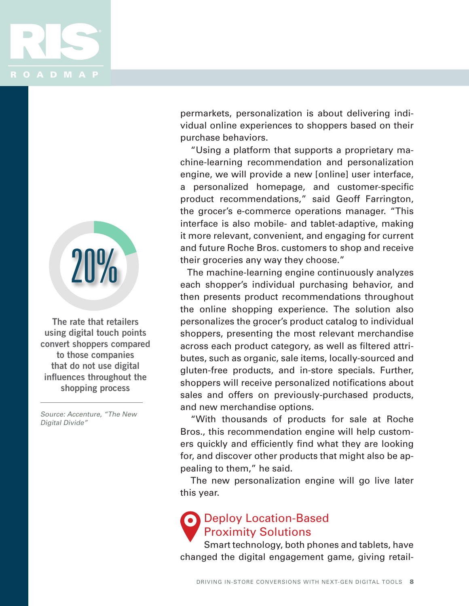



**The rate that retailers using digital touch points convert shoppers compared to those companies that do not use digital influences throughout the shopping process**

Source: Accenture, "The New Digital Divide"

permarkets, personalization is about delivering individual online experiences to shoppers based on their purchase behaviors.

"Using a platform that supports a proprietary machine-learning recommendation and personalization engine, we will provide a new [online] user interface, a personalized homepage, and customer-specific product recommendations," said Geoff Farrington, the grocer's e-commerce operations manager. "This interface is also mobile- and tablet-adaptive, making it more relevant, convenient, and engaging for current and future Roche Bros. customers to shop and receive their groceries any way they choose."

The machine-learning engine continuously analyzes each shopper's individual purchasing behavior, and then presents product recommendations throughout the online shopping experience. The solution also personalizes the grocer's product catalog to individual shoppers, presenting the most relevant merchandise across each product category, as well as filtered attributes, such as organic, sale items, locally-sourced and gluten-free products, and in-store specials. Further, shoppers will receive personalized notifications about sales and offers on previously-purchased products, and new merchandise options.

"With thousands of products for sale at Roche Bros., this recommendation engine will help customers quickly and efficiently find what they are looking for, and discover other products that might also be appealing to them," he said.

The new personalization engine will go live later this year.

#### Deploy Location-Based Proximity Solutions

Smart technology, both phones and tablets, have changed the digital engagement game, giving retail-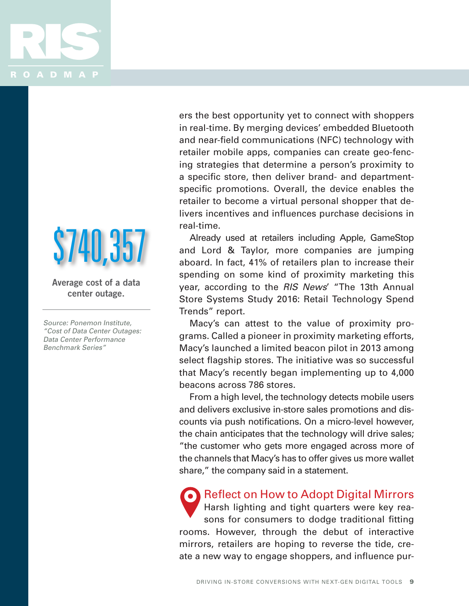

# **\$740,35**

**Average cost of a data center outage.**

Source: Ponemon Institute, "Cost of Data Center Outages: Data Center Performance Benchmark Series"

ers the best opportunity yet to connect with shoppers in real-time. By merging devices' embedded Bluetooth and near-field communications (NFC) technology with retailer mobile apps, companies can create geo-fencing strategies that determine a person's proximity to a specific store, then deliver brand- and departmentspecific promotions. Overall, the device enables the retailer to become a virtual personal shopper that delivers incentives and influences purchase decisions in real-time.

Already used at retailers including Apple, GameStop and Lord & Taylor, more companies are jumping aboard. In fact, 41% of retailers plan to increase their spending on some kind of proximity marketing this year, according to the *RIS News*' "The 13th Annual Store Systems Study 2016: Retail Technology Spend Trends" report.

Macy's can attest to the value of proximity programs. Called a pioneer in proximity marketing efforts, Macy's launched a limited beacon pilot in 2013 among select flagship stores. The initiative was so successful that Macy's recently began implementing up to 4,000 beacons across 786 stores.

From a high level, the technology detects mobile users and delivers exclusive in-store sales promotions and discounts via push notifications. On a micro-level however, the chain anticipates that the technology will drive sales; "the customer who gets more engaged across more of the channels that Macy's has to offer gives us more wallet share," the company said in a statement.

Reflect on How to Adopt Digital Mirrors Harsh lighting and tight quarters were key reasons for consumers to dodge traditional fitting rooms. However, through the debut of interactive mirrors, retailers are hoping to reverse the tide, create a new way to engage shoppers, and influence pur-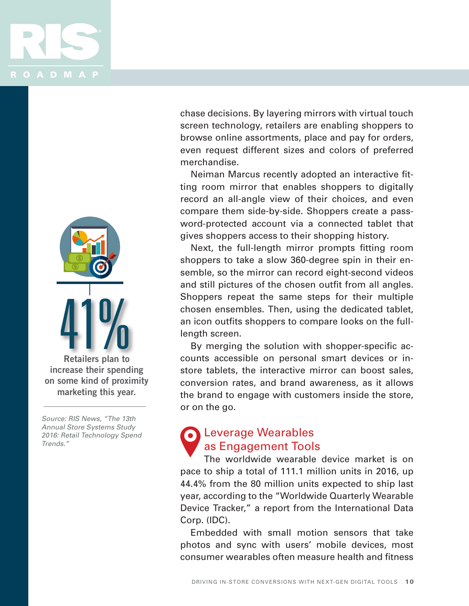



**Retailers plan to increase their spending on some kind of proximity marketing this year.** 

Source: RIS News, "The 13th Annual Store Systems Study 2016: Retail Technology Spend Trends."

chase decisions. By layering mirrors with virtual touch screen technology, retailers are enabling shoppers to browse online assortments, place and pay for orders, even request different sizes and colors of preferred merchandise.

Neiman Marcus recently adopted an interactive fitting room mirror that enables shoppers to digitally record an all-angle view of their choices, and even compare them side-by-side. Shoppers create a password-protected account via a connected tablet that gives shoppers access to their shopping history.

Next, the full-length mirror prompts fitting room shoppers to take a slow 360-degree spin in their ensemble, so the mirror can record eight-second videos and still pictures of the chosen outfit from all angles. Shoppers repeat the same steps for their multiple chosen ensembles. Then, using the dedicated tablet, an icon outfits shoppers to compare looks on the fulllength screen.

By merging the solution with shopper-specific accounts accessible on personal smart devices or instore tablets, the interactive mirror can boost sales, conversion rates, and brand awareness, as it allows the brand to engage with customers inside the store, or on the go.

#### Leverage Wearables as Engagement Tools

The worldwide wearable device market is on pace to ship a total of 111.1 million units in 2016, up 44.4% from the 80 million units expected to ship last year, according to the "Worldwide Quarterly Wearable Device Tracker," a report from the International Data Corp. (IDC).

Embedded with small motion sensors that take photos and sync with users' mobile devices, most consumer wearables often measure health and fitness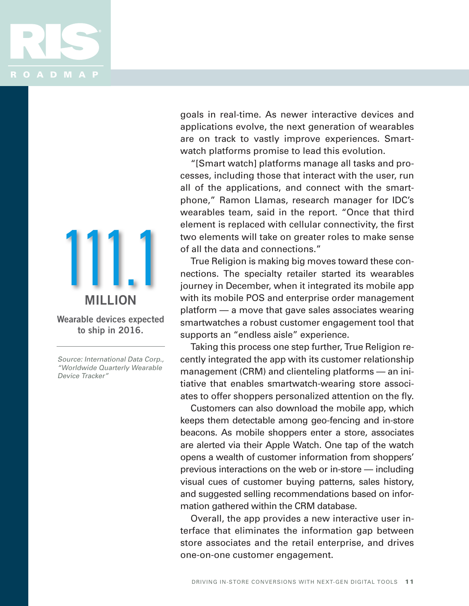

111.1 **Wearable devices expected to ship in 2016. MILLION**

Source: International Data Corp., "Worldwide Quarterly Wearable Device Tracker"

goals in real-time. As newer interactive devices and applications evolve, the next generation of wearables are on track to vastly improve experiences. Smartwatch platforms promise to lead this evolution.

"[Smart watch] platforms manage all tasks and processes, including those that interact with the user, run all of the applications, and connect with the smartphone," Ramon Llamas, research manager for IDC's wearables team, said in the report. "Once that third element is replaced with cellular connectivity, the first two elements will take on greater roles to make sense of all the data and connections."

True Religion is making big moves toward these connections. The specialty retailer started its wearables journey in December, when it integrated its mobile app with its mobile POS and enterprise order management platform — a move that gave sales associates wearing smartwatches a robust customer engagement tool that supports an "endless aisle" experience.

Taking this process one step further, True Religion recently integrated the app with its customer relationship management (CRM) and clienteling platforms — an initiative that enables smartwatch-wearing store associates to offer shoppers personalized attention on the fly.

Customers can also download the mobile app, which keeps them detectable among geo-fencing and in-store beacons. As mobile shoppers enter a store, associates are alerted via their Apple Watch. One tap of the watch opens a wealth of customer information from shoppers' previous interactions on the web or in-store — including visual cues of customer buying patterns, sales history, and suggested selling recommendations based on information gathered within the CRM database.

Overall, the app provides a new interactive user interface that eliminates the information gap between store associates and the retail enterprise, and drives one-on-one customer engagement.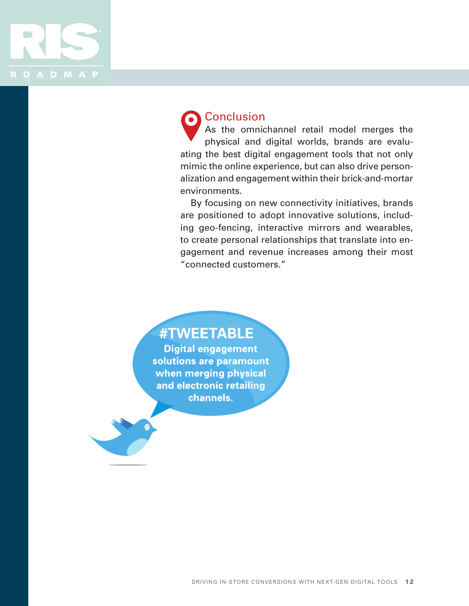

#### **Conclusion**

As the omnichannel retail model merges the physical and digital worlds, brands are evaluating the best digital engagement tools that not only mimic the online experience, but can also drive personalization and engagement within their brick-and-mortar environments.

By focusing on new connectivity initiatives, brands are positioned to adopt innovative solutions, including geo-fencing, interactive mirrors and wearables, to create personal relationships that translate into engagement and revenue increases among their most "connected customers."

#TWEETABLE

**Digital engagement** solutions are paramount when merging physical and electronic retailing channels.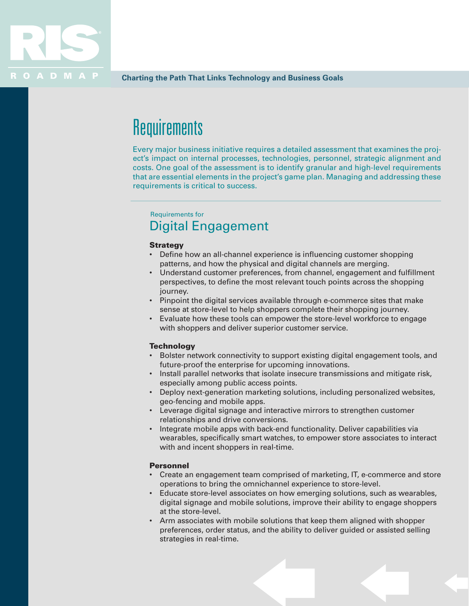

### **Requirements**

Every major business initiative requires a detailed assessment that examines the project's impact on internal processes, technologies, personnel, strategic alignment and costs. One goal of the assessment is to identify granular and high-level requirements that are essential elements in the project's game plan. Managing and addressing these requirements is critical to success.

#### Requirements for Digital Engagement

#### **Strategy**

- Define how an all-channel experience is influencing customer shopping patterns, and how the physical and digital channels are merging.
- Understand customer preferences, from channel, engagement and fulfillment perspectives, to define the most relevant touch points across the shopping journey.
- • Pinpoint the digital services available through e-commerce sites that make sense at store-level to help shoppers complete their shopping journey.
- Evaluate how these tools can empower the store-level workforce to engage with shoppers and deliver superior customer service.

#### **Technology**

- Bolster network connectivity to support existing digital engagement tools, and future-proof the enterprise for upcoming innovations.
- Install parallel networks that isolate insecure transmissions and mitigate risk, especially among public access points.
- Deploy next-generation marketing solutions, including personalized websites, geo-fencing and mobile apps.
- Leverage digital signage and interactive mirrors to strengthen customer relationships and drive conversions.
- Integrate mobile apps with back-end functionality. Deliver capabilities via wearables, specifically smart watches, to empower store associates to interact with and incent shoppers in real-time.

#### Personnel

- • Create an engagement team comprised of marketing, IT, e-commerce and store operations to bring the omnichannel experience to store-level.
- Educate store-level associates on how emerging solutions, such as wearables, digital signage and mobile solutions, improve their ability to engage shoppers at the store-level.
- Arm associates with mobile solutions that keep them aligned with shopper preferences, order status, and the ability to deliver guided or assisted selling strategies in real-time.